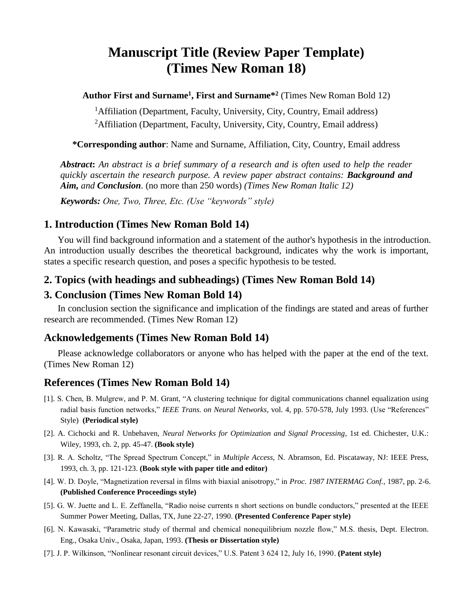# **Manuscript Title (Review Paper Template) (Times New Roman 18)**

**Author First and Surname<sup>1</sup> , First and Surname\* 2** (Times New Roman Bold 12)

<sup>1</sup>Affiliation (Department, Faculty, University, City, Country, Email address) <sup>2</sup>Affiliation (Department, Faculty, University, City, Country, Email address)

**\*Corresponding author**: Name and Surname, Affiliation, City, Country, Email address

*Abstract***:** *An abstract is a brief summary of a research and is often used to help the reader quickly ascertain the research purpose. A review paper abstract contains: Background and Aim, and Conclusion.* (no more than 250 words) *(Times New Roman Italic 12)*

*Keywords: One, Two, Three, Etc. (Use "keywords" style)*

### **1. Introduction (Times New Roman Bold 14)**

You will find background information and a statement of the author's hypothesis in the introduction. An introduction usually describes the theoretical background, indicates why the work is important, states a specific research question, and poses a specific hypothesis to be tested.

#### **2. Topics (with headings and subheadings) (Times New Roman Bold 14)**

### **3. Conclusion (Times New Roman Bold 14)**

In conclusion section the significance and implication of the findings are stated and areas of further research are recommended. (Times New Roman 12)

#### **Acknowledgements (Times New Roman Bold 14)**

Please acknowledge collaborators or anyone who has helped with the paper at the end of the text. (Times New Roman 12)

## **References (Times New Roman Bold 14)**

- [1]. S. Chen, B. Mulgrew, and P. M. Grant, "A clustering technique for digital communications channel equalization using radial basis function networks," *IEEE Trans. on Neural Networks*, vol. 4, pp. 570-578, July 1993. (Use "References" Style) **(Periodical style)**
- [2]. A. Cichocki and R. Unbehaven, *Neural Networks for Optimization and Signal Processing*, 1st ed. Chichester, U.K.: Wiley, 1993, ch. 2, pp. 45-47. **(Book style)**
- [3]. R. A. Scholtz, "The Spread Spectrum Concept," in *Multiple Access,* N. Abramson, Ed. Piscataway, NJ: IEEE Press, 1993, ch. 3, pp. 121-123. **(Book style with paper title and editor)**
- [4]. W. D. Doyle, "Magnetization reversal in films with biaxial anisotropy," in *Proc. 1987 INTERMAG Conf.*, 1987, pp. 2-6. **(Published Conference Proceedings style)**
- [5]. G. W. Juette and L. E. Zeffanella, "Radio noise currents n short sections on bundle conductors," presented at the IEEE Summer Power Meeting, Dallas, TX, June 22-27, 1990. **(Presented Conference Paper style)**
- [6]. N. Kawasaki, "Parametric study of thermal and chemical nonequilibrium nozzle flow," M.S. thesis, Dept. Electron. Eng., Osaka Univ., Osaka, Japan, 1993. **(Thesis or Dissertation style)**
- [7]. J. P. Wilkinson, "Nonlinear resonant circuit devices," U.S. Patent 3 624 12, July 16, 1990. **(Patent style)**